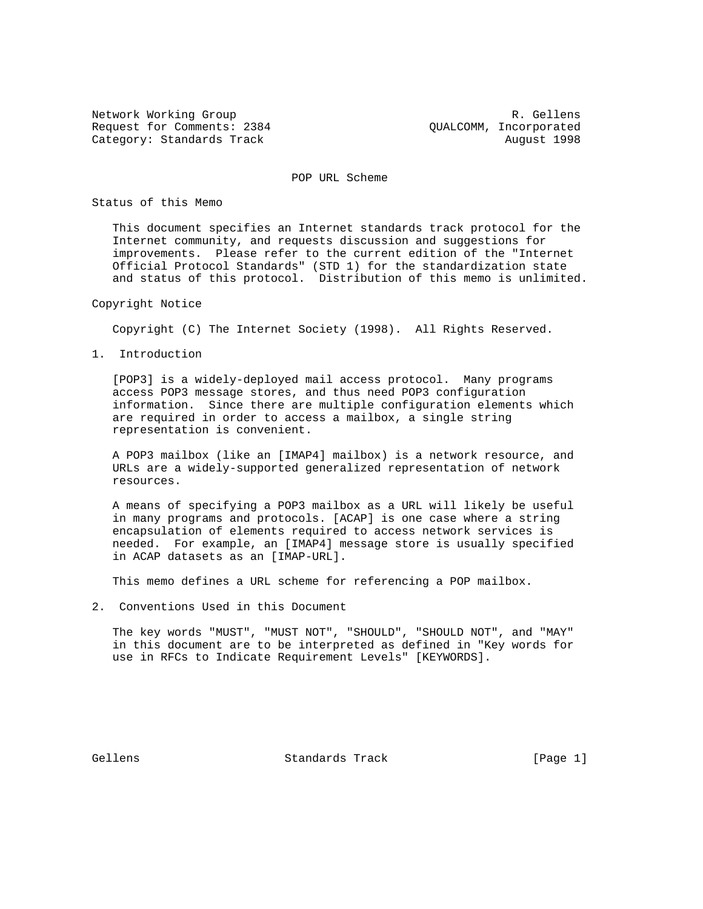Network Working Group **R. Gellens** Request for Comments: 2384 QUALCOMM, Incorporated Category: Standards Track August 1998

POP URL Scheme

Status of this Memo

 This document specifies an Internet standards track protocol for the Internet community, and requests discussion and suggestions for improvements. Please refer to the current edition of the "Internet Official Protocol Standards" (STD 1) for the standardization state and status of this protocol. Distribution of this memo is unlimited.

Copyright Notice

Copyright (C) The Internet Society (1998). All Rights Reserved.

1. Introduction

 [POP3] is a widely-deployed mail access protocol. Many programs access POP3 message stores, and thus need POP3 configuration information. Since there are multiple configuration elements which are required in order to access a mailbox, a single string representation is convenient.

 A POP3 mailbox (like an [IMAP4] mailbox) is a network resource, and URLs are a widely-supported generalized representation of network resources.

 A means of specifying a POP3 mailbox as a URL will likely be useful in many programs and protocols. [ACAP] is one case where a string encapsulation of elements required to access network services is needed. For example, an [IMAP4] message store is usually specified in ACAP datasets as an [IMAP-URL].

This memo defines a URL scheme for referencing a POP mailbox.

2. Conventions Used in this Document

 The key words "MUST", "MUST NOT", "SHOULD", "SHOULD NOT", and "MAY" in this document are to be interpreted as defined in "Key words for use in RFCs to Indicate Requirement Levels" [KEYWORDS].

Gellens Standards Track [Page 1]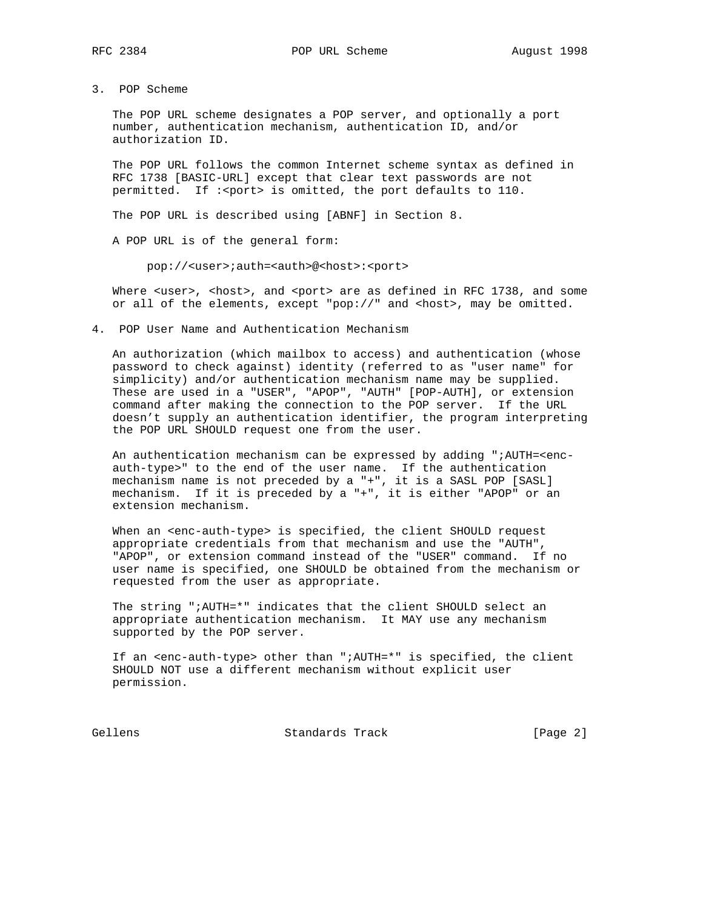3. POP Scheme

 The POP URL scheme designates a POP server, and optionally a port number, authentication mechanism, authentication ID, and/or authorization ID.

 The POP URL follows the common Internet scheme syntax as defined in RFC 1738 [BASIC-URL] except that clear text passwords are not permitted. If :<port> is omitted, the port defaults to 110.

The POP URL is described using [ABNF] in Section 8.

A POP URL is of the general form:

pop://<user>;auth=<auth>@<host>:<port>

Where <user>, <host>, and <port> are as defined in RFC 1738, and some or all of the elements, except "pop://" and <host>, may be omitted.

4. POP User Name and Authentication Mechanism

 An authorization (which mailbox to access) and authentication (whose password to check against) identity (referred to as "user name" for simplicity) and/or authentication mechanism name may be supplied. These are used in a "USER", "APOP", "AUTH" [POP-AUTH], or extension command after making the connection to the POP server. If the URL doesn't supply an authentication identifier, the program interpreting the POP URL SHOULD request one from the user.

 An authentication mechanism can be expressed by adding ";AUTH=<enc auth-type>" to the end of the user name. If the authentication mechanism name is not preceded by a "+", it is a SASL POP [SASL] mechanism. If it is preceded by a "+", it is either "APOP" or an extension mechanism.

When an <enc-auth-type> is specified, the client SHOULD request appropriate credentials from that mechanism and use the "AUTH", "APOP", or extension command instead of the "USER" command. If no user name is specified, one SHOULD be obtained from the mechanism or requested from the user as appropriate.

 The string ";AUTH=\*" indicates that the client SHOULD select an appropriate authentication mechanism. It MAY use any mechanism supported by the POP server.

 If an <enc-auth-type> other than ";AUTH=\*" is specified, the client SHOULD NOT use a different mechanism without explicit user permission.

Gellens Standards Track [Page 2]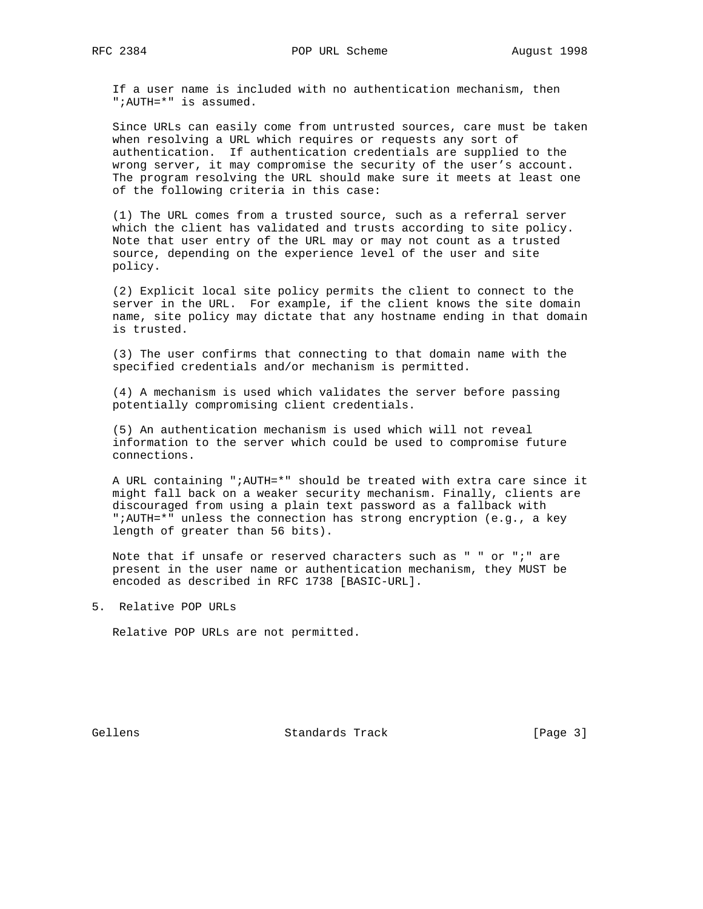If a user name is included with no authentication mechanism, then ";AUTH=\*" is assumed.

 Since URLs can easily come from untrusted sources, care must be taken when resolving a URL which requires or requests any sort of authentication. If authentication credentials are supplied to the wrong server, it may compromise the security of the user's account. The program resolving the URL should make sure it meets at least one of the following criteria in this case:

 (1) The URL comes from a trusted source, such as a referral server which the client has validated and trusts according to site policy. Note that user entry of the URL may or may not count as a trusted source, depending on the experience level of the user and site policy.

 (2) Explicit local site policy permits the client to connect to the server in the URL. For example, if the client knows the site domain name, site policy may dictate that any hostname ending in that domain is trusted.

 (3) The user confirms that connecting to that domain name with the specified credentials and/or mechanism is permitted.

 (4) A mechanism is used which validates the server before passing potentially compromising client credentials.

 (5) An authentication mechanism is used which will not reveal information to the server which could be used to compromise future connections.

 A URL containing ";AUTH=\*" should be treated with extra care since it might fall back on a weaker security mechanism. Finally, clients are discouraged from using a plain text password as a fallback with ";AUTH=\*" unless the connection has strong encryption (e.g., a key length of greater than 56 bits).

 Note that if unsafe or reserved characters such as " " or ";" are present in the user name or authentication mechanism, they MUST be encoded as described in RFC 1738 [BASIC-URL].

5. Relative POP URLs

Relative POP URLs are not permitted.

Gellens Standards Track [Page 3]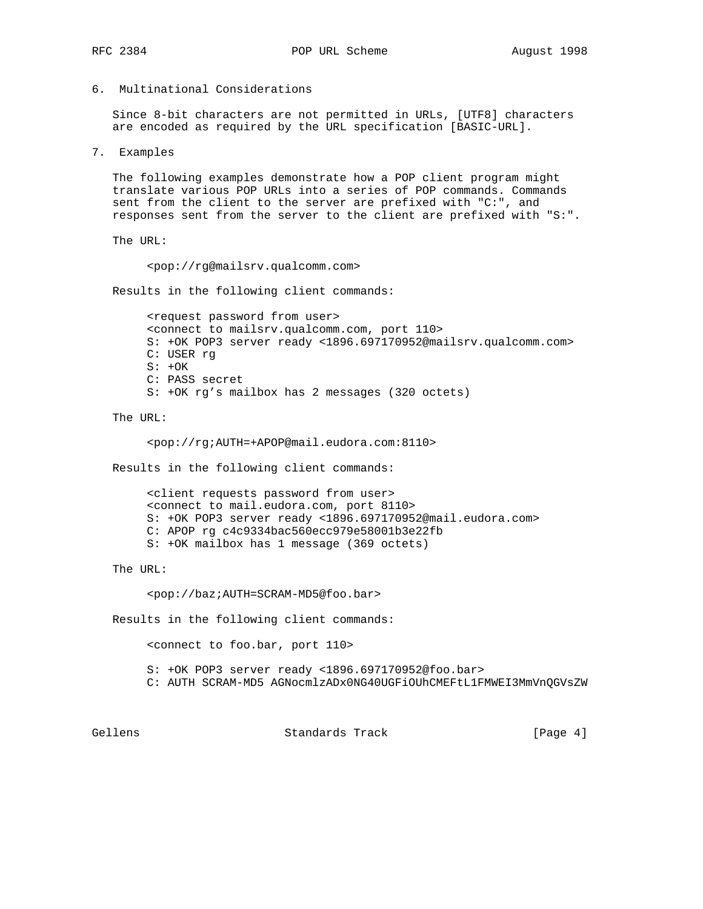6. Multinational Considerations

 Since 8-bit characters are not permitted in URLs, [UTF8] characters are encoded as required by the URL specification [BASIC-URL].

7. Examples

 The following examples demonstrate how a POP client program might translate various POP URLs into a series of POP commands. Commands sent from the client to the server are prefixed with "C:", and responses sent from the server to the client are prefixed with "S:".

The URL:

<pop://rg@mailsrv.qualcomm.com>

Results in the following client commands:

 <request password from user> <connect to mailsrv.qualcomm.com, port 110> S: +OK POP3 server ready <1896.697170952@mailsrv.qualcomm.com> C: USER rg  $S: +OK$  C: PASS secret S: +OK rg's mailbox has 2 messages (320 octets)

The URL:

<pop://rg;AUTH=+APOP@mail.eudora.com:8110>

Results in the following client commands:

 <client requests password from user> <connect to mail.eudora.com, port 8110> S: +OK POP3 server ready <1896.697170952@mail.eudora.com> C: APOP rg c4c9334bac560ecc979e58001b3e22fb S: +OK mailbox has 1 message (369 octets)

The URL:

<pop://baz;AUTH=SCRAM-MD5@foo.bar>

Results in the following client commands:

<connect to foo.bar, port 110>

 S: +OK POP3 server ready <1896.697170952@foo.bar> C: AUTH SCRAM-MD5 AGNocmlzADx0NG40UGFiOUhCMEFtL1FMWEI3MmVnQGVsZW

Gellens **Standards Track** [Page 4]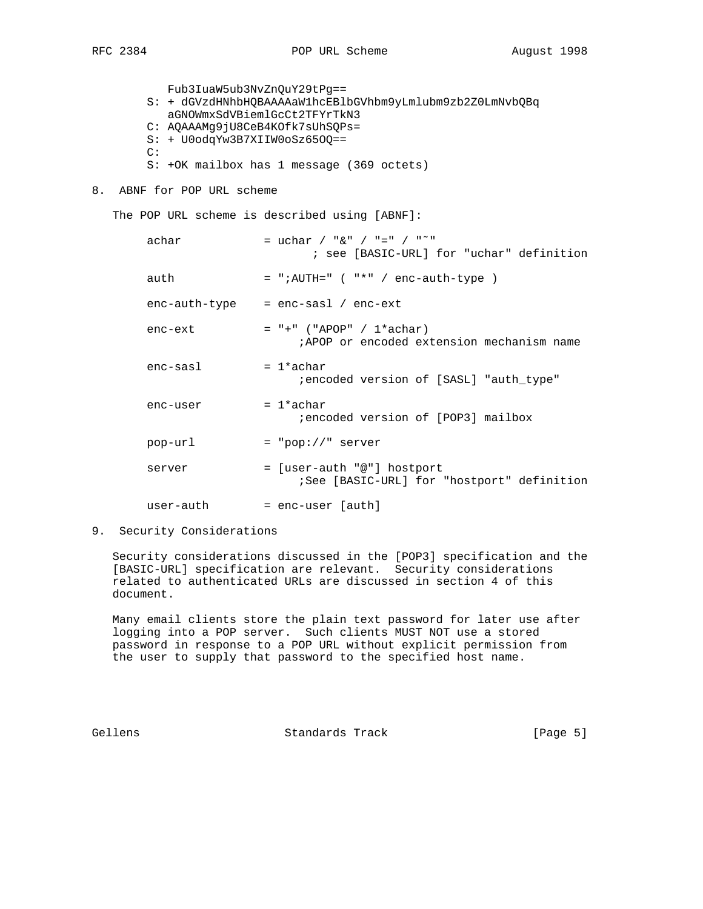Fub3IuaW5ub3NvZnQuY29tPg== S: + dGVzdHNhbHQBAAAAaW1hcEBlbGVhbm9yLmlubm9zb2Z0LmNvbQBq aGNOWmxSdVBiemlGcCt2TFYrTkN3 C: AQAAAMg9jU8CeB4KOfk7sUhSQPs= S: + U0odqYw3B7XIIW0oSz65OQ== C:

- S: +OK mailbox has 1 message (369 octets)
- 8. ABNF for POP URL scheme

The POP URL scheme is described using [ABNF]:

| achar      | = uchar / " $\&$ " / "=" / " <sup>~</sup> "<br>; see [BASIC-URL] for "uchar" definition |
|------------|-----------------------------------------------------------------------------------------|
| auth       | $=$ ";AUTH=" $($ "*" / enc-auth-type $)$                                                |
|            | $enc$ -auth-type = $enc$ -sasl / $enc$ -ext                                             |
| enc-ext    | $= " +" ("APOP" / 1*achar)$<br>:APOP or encoded extension mechanism name                |
| $enc-sas1$ | $= 1*ackar$<br>iencoded version of [SASL] "auth type"                                   |
| enc-user   | $= 1*ackar$<br>iencoded version of [POP3] mailbox                                       |
| pop-url    | $= "pop://" server$                                                                     |
| server     | = [user-auth "@"] hostport<br>See [BASIC-URL] for "hostport" definition                 |
| user-auth  | $=$ enc-user [auth]                                                                     |

9. Security Considerations

 Security considerations discussed in the [POP3] specification and the [BASIC-URL] specification are relevant. Security considerations related to authenticated URLs are discussed in section 4 of this document.

 Many email clients store the plain text password for later use after logging into a POP server. Such clients MUST NOT use a stored password in response to a POP URL without explicit permission from the user to supply that password to the specified host name.

Gellens Standards Track [Page 5]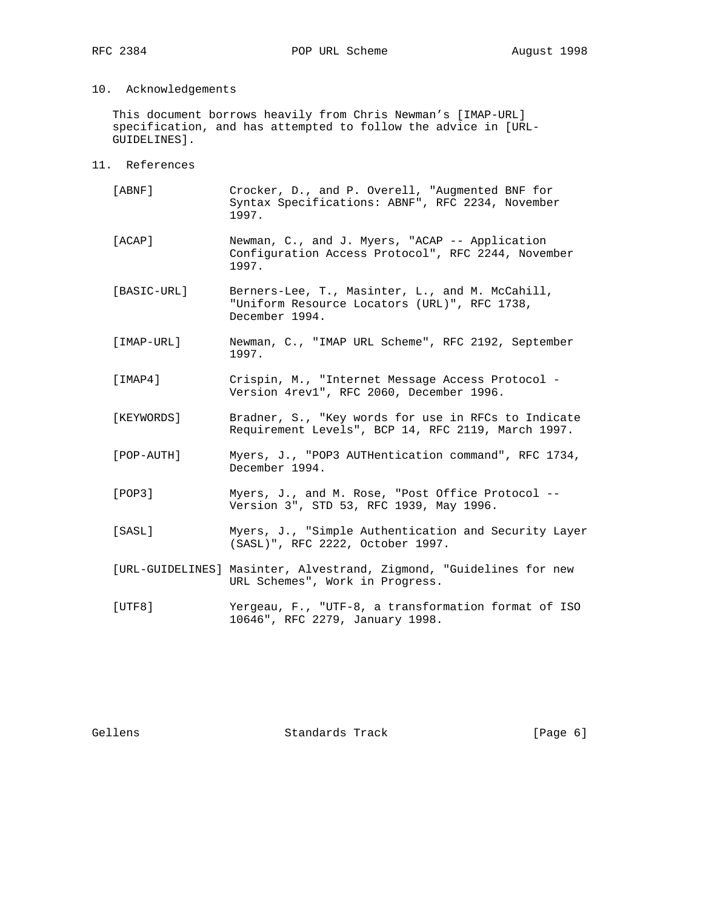## 10. Acknowledgements

 This document borrows heavily from Chris Newman's [IMAP-URL] specification, and has attempted to follow the advice in [URL- GUIDELINES].

11. References

| [ABNF]      | Crocker, D., and P. Overell, "Augmented BNF for<br>Syntax Specifications: ABNF", RFC 2234, November<br>1997.      |
|-------------|-------------------------------------------------------------------------------------------------------------------|
| [ACAP]      | Newman, C., and J. Myers, "ACAP -- Application<br>Configuration Access Protocol", RFC 2244, November<br>1997.     |
| [BASIC-URL] | Berners-Lee, T., Masinter, L., and M. McCahill,<br>"Uniform Resource Locators (URL)", RFC 1738,<br>December 1994. |
| [IMAP-URL]  | Newman, C., "IMAP URL Scheme", RFC 2192, September<br>1997.                                                       |
| [IMAP4]     | Crispin, M., "Internet Message Access Protocol -<br>Version 4rev1", RFC 2060, December 1996.                      |
| [KEYWORDS]  | Bradner, S., "Key words for use in RFCs to Indicate<br>Requirement Levels", BCP 14, RFC 2119, March 1997.         |
| [POP-AUTH]  | Myers, J., "POP3 AUTHentication command", RFC 1734,<br>December 1994.                                             |
| [POP3]      | Myers, J., and M. Rose, "Post Office Protocol --<br>Version 3", STD 53, RFC 1939, May 1996.                       |
| [SASL]      | Myers, J., "Simple Authentication and Security Layer<br>(SASL)", RFC 2222, October 1997.                          |
|             | [URL-GUIDELINES] Masinter, Alvestrand, Zigmond, "Guidelines for new<br>URL Schemes", Work in Progress.            |
| [UTF8]      | Yergeau, F., "UTF-8, a transformation format of ISO<br>10646", RFC 2279, January 1998.                            |
|             |                                                                                                                   |

Gellens Standards Track [Page 6]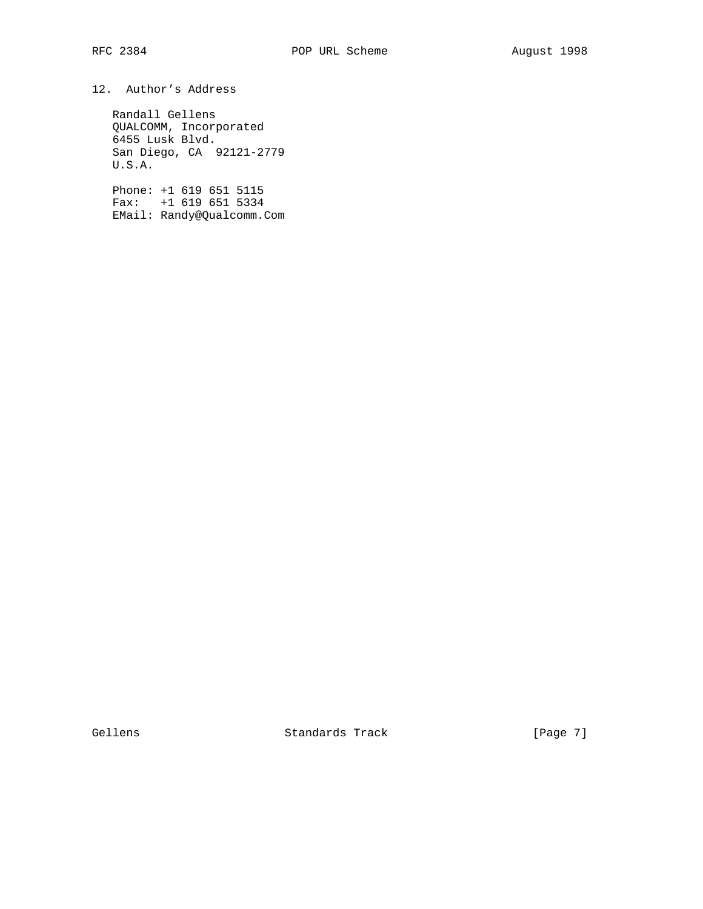## 12. Author's Address

 Randall Gellens QUALCOMM, Incorporated 6455 Lusk Blvd. San Diego, CA 92121-2779 U.S.A.

 Phone: +1 619 651 5115 Fax: +1 619 651 5334 EMail: Randy@Qualcomm.Com

Gellens Standards Track [Page 7]